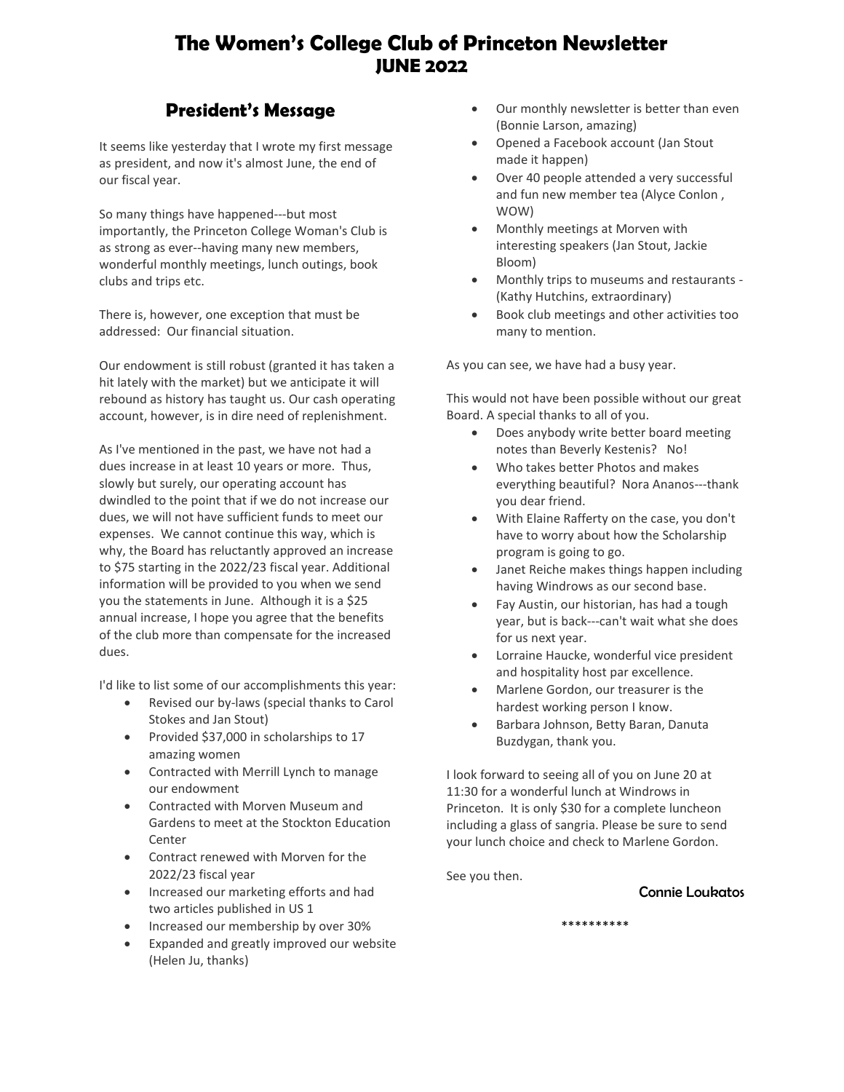# **The Women's College Club of Princeton Newsletter JUNE 2022**

# **President's Message**

It seems like yesterday that I wrote my first message as president, and now it's almost June, the end of our fiscal year.

So many things have happened---but most importantly, the Princeton College Woman's Club is as strong as ever--having many new members, wonderful monthly meetings, lunch outings, book clubs and trips etc.

There is, however, one exception that must be addressed: Our financial situation.

Our endowment is still robust (granted it has taken a hit lately with the market) but we anticipate it will rebound as history has taught us. Our cash operating account, however, is in dire need of replenishment.

As I've mentioned in the past, we have not had a dues increase in at least 10 years or more. Thus, slowly but surely, our operating account has dwindled to the point that if we do not increase our dues, we will not have sufficient funds to meet our expenses. We cannot continue this way, which is why, the Board has reluctantly approved an increase to \$75 starting in the 2022/23 fiscal year. Additional information will be provided to you when we send you the statements in June. Although it is a \$25 annual increase, I hope you agree that the benefits of the club more than compensate for the increased dues.

I'd like to list some of our accomplishments this year:

- Revised our by-laws (special thanks to Carol Stokes and Jan Stout)
- Provided \$37,000 in scholarships to 17 amazing women
- Contracted with Merrill Lynch to manage our endowment
- Contracted with Morven Museum and Gardens to meet at the Stockton Education Center
- Contract renewed with Morven for the 2022/23 fiscal year
- Increased our marketing efforts and had two articles published in US 1
- Increased our membership by over 30%
- Expanded and greatly improved our website (Helen Ju, thanks)
- Our monthly newsletter is better than even (Bonnie Larson, amazing)
- Opened a Facebook account (Jan Stout made it happen)
- Over 40 people attended a very successful and fun new member tea (Alyce Conlon , WOW)
- Monthly meetings at Morven with interesting speakers (Jan Stout, Jackie Bloom)
- Monthly trips to museums and restaurants (Kathy Hutchins, extraordinary)
- Book club meetings and other activities too many to mention.

As you can see, we have had a busy year.

This would not have been possible without our great Board. A special thanks to all of you.

- Does anybody write better board meeting notes than Beverly Kestenis? No!
- Who takes better Photos and makes everything beautiful? Nora Ananos---thank you dear friend.
- With Elaine Rafferty on the case, you don't have to worry about how the Scholarship program is going to go.
- Janet Reiche makes things happen including having Windrows as our second base.
- Fay Austin, our historian, has had a tough year, but is back---can't wait what she does for us next year.
- Lorraine Haucke, wonderful vice president and hospitality host par excellence.
- Marlene Gordon, our treasurer is the hardest working person I know.
- Barbara Johnson, Betty Baran, Danuta Buzdygan, thank you.

I look forward to seeing all of you on June 20 at 11:30 for a wonderful lunch at Windrows in Princeton. It is only \$30 for a complete luncheon including a glass of sangria. Please be sure to send your lunch choice and check to Marlene Gordon.

See you then.

#### Connie Loukatos

\*\*\*\*\*\*\*\*\*\*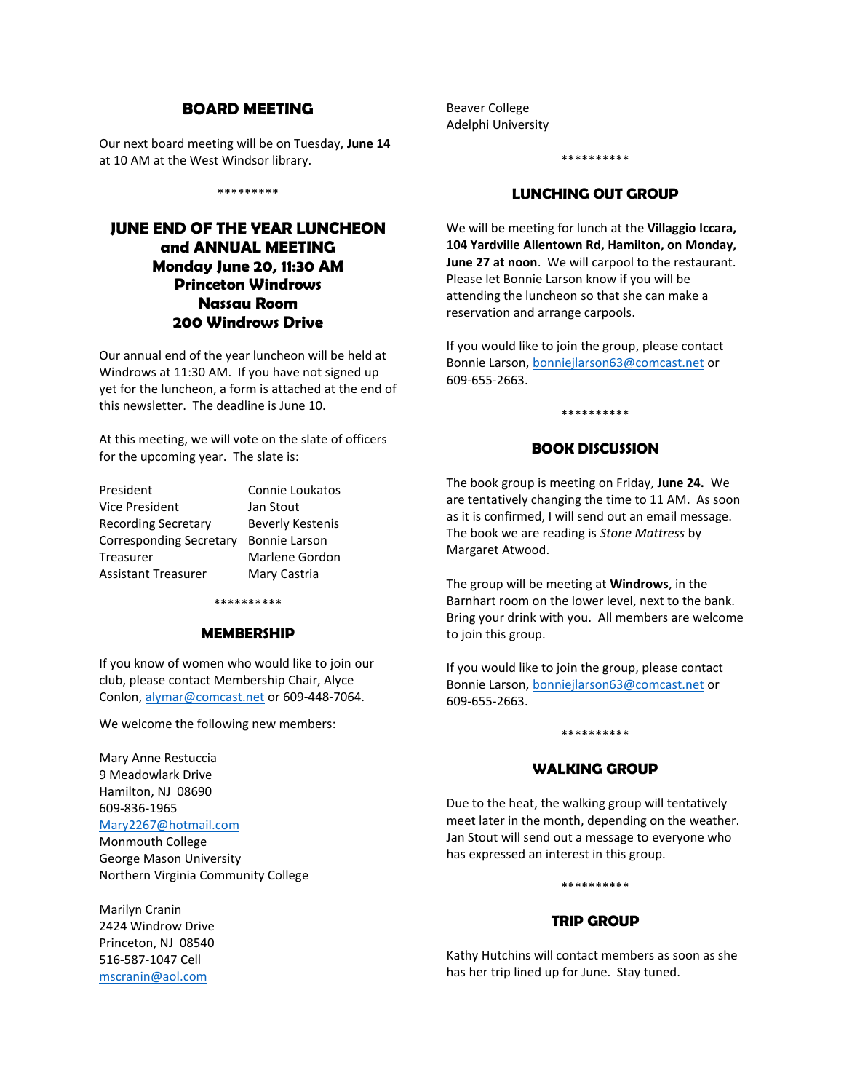#### **BOARD MEETING**

Our next board meeting will be on Tuesday, **June 14** at 10 AM at the West Windsor library.

\*\*\*\*\*\*\*\*\*

### **JUNE END OF THE YEAR LUNCHEON and ANNUAL MEETING Monday June 20, 11:30 AM Princeton Windrows Nassau Room 200 Windrows Drive**

Our annual end of the year luncheon will be held at Windrows at 11:30 AM. If you have not signed up yet for the luncheon, a form is attached at the end of this newsletter. The deadline is June 10.

At this meeting, we will vote on the slate of officers for the upcoming year. The slate is:

President Connie Loukatos Vice President Jan Stout Recording Secretary Beverly Kestenis Corresponding Secretary Bonnie Larson Treasurer Marlene Gordon Assistant Treasurer Mary Castria

#### \*\*\*\*\*\*\*\*\*\*

#### **MEMBERSHIP**

If you know of women who would like to join our club, please contact Membership Chair, Alyce Conlon[, alymar@comcast.net](mailto:alymar@comcast.net) or 609-448-7064.

We welcome the following new members:

Mary Anne Restuccia 9 Meadowlark Drive Hamilton, NJ 08690 609-836-1965

### [Mary2267@hotmail.com](mailto:Mary2267@hotmail.com)

Monmouth College George Mason University Northern Virginia Community College

Marilyn Cranin 2424 Windrow Drive Princeton, NJ 08540 516-587-1047 Cell [mscranin@aol.com](mailto:mscranin@aol.com)

Beaver College Adelphi University

# \*\*\*\*\*\*\*\*\*\*

#### **LUNCHING OUT GROUP**

We will be meeting for lunch at the **Villaggio Iccara, 104 Yardville Allentown Rd, Hamilton, on Monday, June 27 at noon**. We will carpool to the restaurant. Please let Bonnie Larson know if you will be attending the luncheon so that she can make a reservation and arrange carpools.

If you would like to join the group, please contact Bonnie Larson[, bonniejlarson63@comcast.net](mailto:bonniejlarson63@comcast.net) or 609-655-2663.

#### **BOOK DISCUSSION**

\*\*\*\*\*\*\*\*\*\*

The book group is meeting on Friday, **June 24.** We are tentatively changing the time to 11 AM. As soon as it is confirmed, I will send out an email message. The book we are reading is *Stone Mattress* by Margaret Atwood.

The group will be meeting at **Windrows**, in the Barnhart room on the lower level, next to the bank. Bring your drink with you. All members are welcome to join this group.

If you would like to join the group, please contact Bonnie Larson[, bonniejlarson63@comcast.net](mailto:bonniejlarson63@comcast.net) or 609-655-2663.

#### **WALKING GROUP**

\*\*\*\*\*\*\*\*\*\*

Due to the heat, the walking group will tentatively meet later in the month, depending on the weather. Jan Stout will send out a message to everyone who has expressed an interest in this group.

#### \*\*\*\*\*\*\*\*\*\*

#### **TRIP GROUP**

Kathy Hutchins will contact members as soon as she has her trip lined up for June. Stay tuned.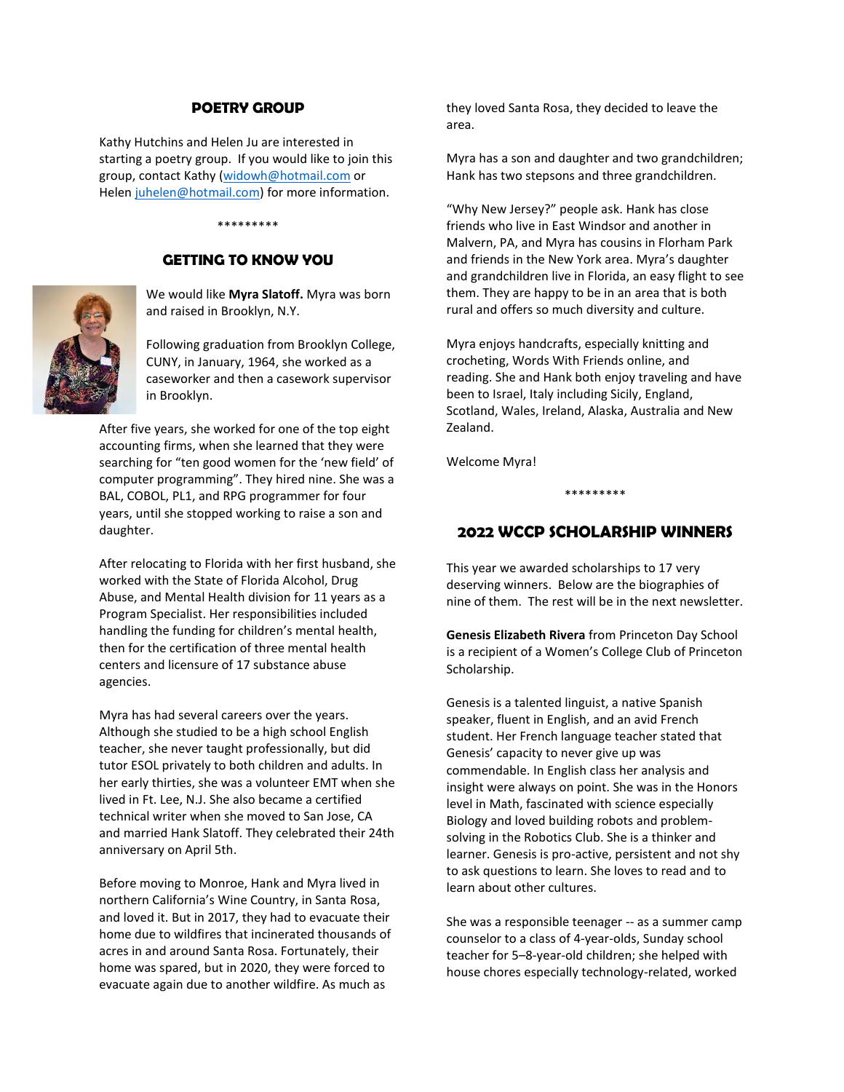#### **POETRY GROUP**

Kathy Hutchins and Helen Ju are interested in starting a poetry group. If you would like to join this group, contact Kathy [\(widowh@hotmail.com](mailto:widowh@hotmail.com) or Helen [juhelen@hotmail.com\)](mailto:juhelen@hotmail.com) for more information.

#### \*\*\*\*\*\*\*\*\*

#### **GETTING TO KNOW YOU**



We would like **Myra Slatoff.** Myra was born and raised in Brooklyn, N.Y.

Following graduation from Brooklyn College, CUNY, in January, 1964, she worked as a caseworker and then a casework supervisor in Brooklyn.

After five years, she worked for one of the top eight accounting firms, when she learned that they were searching for "ten good women for the 'new field' of computer programming". They hired nine. She was a BAL, COBOL, PL1, and RPG programmer for four years, until she stopped working to raise a son and daughter.

After relocating to Florida with her first husband, she worked with the State of Florida Alcohol, Drug Abuse, and Mental Health division for 11 years as a Program Specialist. Her responsibilities included handling the funding for children's mental health, then for the certification of three mental health centers and licensure of 17 substance abuse agencies.

Myra has had several careers over the years. Although she studied to be a high school English teacher, she never taught professionally, but did tutor ESOL privately to both children and adults. In her early thirties, she was a volunteer EMT when she lived in Ft. Lee, N.J. She also became a certified technical writer when she moved to San Jose, CA and married Hank Slatoff. They celebrated their 24th anniversary on April 5th.

Before moving to Monroe, Hank and Myra lived in northern California's Wine Country, in Santa Rosa, and loved it. But in 2017, they had to evacuate their home due to wildfires that incinerated thousands of acres in and around Santa Rosa. Fortunately, their home was spared, but in 2020, they were forced to evacuate again due to another wildfire. As much as

they loved Santa Rosa, they decided to leave the area.

Myra has a son and daughter and two grandchildren; Hank has two stepsons and three grandchildren.

"Why New Jersey?" people ask. Hank has close friends who live in East Windsor and another in Malvern, PA, and Myra has cousins in Florham Park and friends in the New York area. Myra's daughter and grandchildren live in Florida, an easy flight to see them. They are happy to be in an area that is both rural and offers so much diversity and culture.

Myra enjoys handcrafts, especially knitting and crocheting, Words With Friends online, and reading. She and Hank both enjoy traveling and have been to Israel, Italy including Sicily, England, Scotland, Wales, Ireland, Alaska, Australia and New Zealand.

Welcome Myra!

\*\*\*\*\*\*\*\*\*

#### **2022 WCCP SCHOLARSHIP WINNERS**

This year we awarded scholarships to 17 very deserving winners. Below are the biographies of nine of them. The rest will be in the next newsletter.

**Genesis Elizabeth Rivera** from Princeton Day School is a recipient of a Women's College Club of Princeton Scholarship.

Genesis is a talented linguist, a native Spanish speaker, fluent in English, and an avid French student. Her French language teacher stated that Genesis' capacity to never give up was commendable. In English class her analysis and insight were always on point. She was in the Honors level in Math, fascinated with science especially Biology and loved building robots and problemsolving in the Robotics Club. She is a thinker and learner. Genesis is pro-active, persistent and not shy to ask questions to learn. She loves to read and to learn about other cultures.

She was a responsible teenager -- as a summer camp counselor to a class of 4-year-olds, Sunday school teacher for 5–8-year-old children; she helped with house chores especially technology-related, worked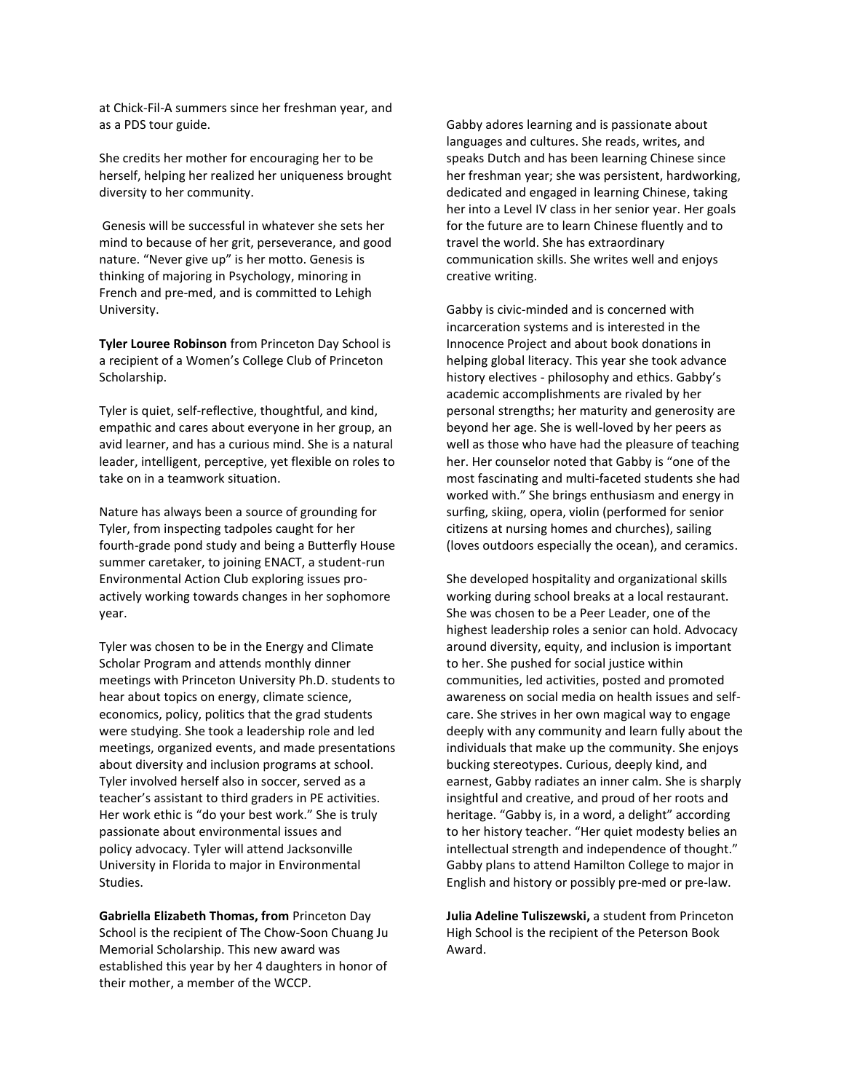at Chick-Fil-A summers since her freshman year, and as a PDS tour guide.

She credits her mother for encouraging her to be herself, helping her realized her uniqueness brought diversity to her community.

Genesis will be successful in whatever she sets her mind to because of her grit, perseverance, and good nature. "Never give up" is her motto. Genesis is thinking of majoring in Psychology, minoring in French and pre-med, and is committed to Lehigh University.

**Tyler Louree Robinson** from Princeton Day School is a recipient of a Women's College Club of Princeton Scholarship.

Tyler is quiet, self-reflective, thoughtful, and kind, empathic and cares about everyone in her group, an avid learner, and has a curious mind. She is a natural leader, intelligent, perceptive, yet flexible on roles to take on in a teamwork situation.

Nature has always been a source of grounding for Tyler, from inspecting tadpoles caught for her fourth-grade pond study and being a Butterfly House summer caretaker, to joining ENACT, a student-run Environmental Action Club exploring issues proactively working towards changes in her sophomore year.

Tyler was chosen to be in the Energy and Climate Scholar Program and attends monthly dinner meetings with Princeton University Ph.D. students to hear about topics on energy, climate science, economics, policy, politics that the grad students were studying. She took a leadership role and led meetings, organized events, and made presentations about diversity and inclusion programs at school. Tyler involved herself also in soccer, served as a teacher's assistant to third graders in PE activities. Her work ethic is "do your best work." She is truly passionate about environmental issues and policy advocacy. Tyler will attend Jacksonville University in Florida to major in Environmental Studies.

**Gabriella Elizabeth Thomas, from** Princeton Day School is the recipient of The Chow-Soon Chuang Ju Memorial Scholarship. This new award was established this year by her 4 daughters in honor of their mother, a member of the WCCP.

Gabby adores learning and is passionate about languages and cultures. She reads, writes, and speaks Dutch and has been learning Chinese since her freshman year; she was persistent, hardworking, dedicated and engaged in learning Chinese, taking her into a Level IV class in her senior year. Her goals for the future are to learn Chinese fluently and to travel the world. She has extraordinary communication skills. She writes well and enjoys creative writing.

Gabby is civic-minded and is concerned with incarceration systems and is interested in the Innocence Project and about book donations in helping global literacy. This year she took advance history electives - philosophy and ethics. Gabby's academic accomplishments are rivaled by her personal strengths; her maturity and generosity are beyond her age. She is well-loved by her peers as well as those who have had the pleasure of teaching her. Her counselor noted that Gabby is "one of the most fascinating and multi-faceted students she had worked with." She brings enthusiasm and energy in surfing, skiing, opera, violin (performed for senior citizens at nursing homes and churches), sailing (loves outdoors especially the ocean), and ceramics.

She developed hospitality and organizational skills working during school breaks at a local restaurant. She was chosen to be a Peer Leader, one of the highest leadership roles a senior can hold. Advocacy around diversity, equity, and inclusion is important to her. She pushed for social justice within communities, led activities, posted and promoted awareness on social media on health issues and selfcare. She strives in her own magical way to engage deeply with any community and learn fully about the individuals that make up the community. She enjoys bucking stereotypes. Curious, deeply kind, and earnest, Gabby radiates an inner calm. She is sharply insightful and creative, and proud of her roots and heritage. "Gabby is, in a word, a delight" according to her history teacher. "Her quiet modesty belies an intellectual strength and independence of thought." Gabby plans to attend Hamilton College to major in English and history or possibly pre-med or pre-law.

**Julia Adeline Tuliszewski,** a student from Princeton High School is the recipient of the Peterson Book Award.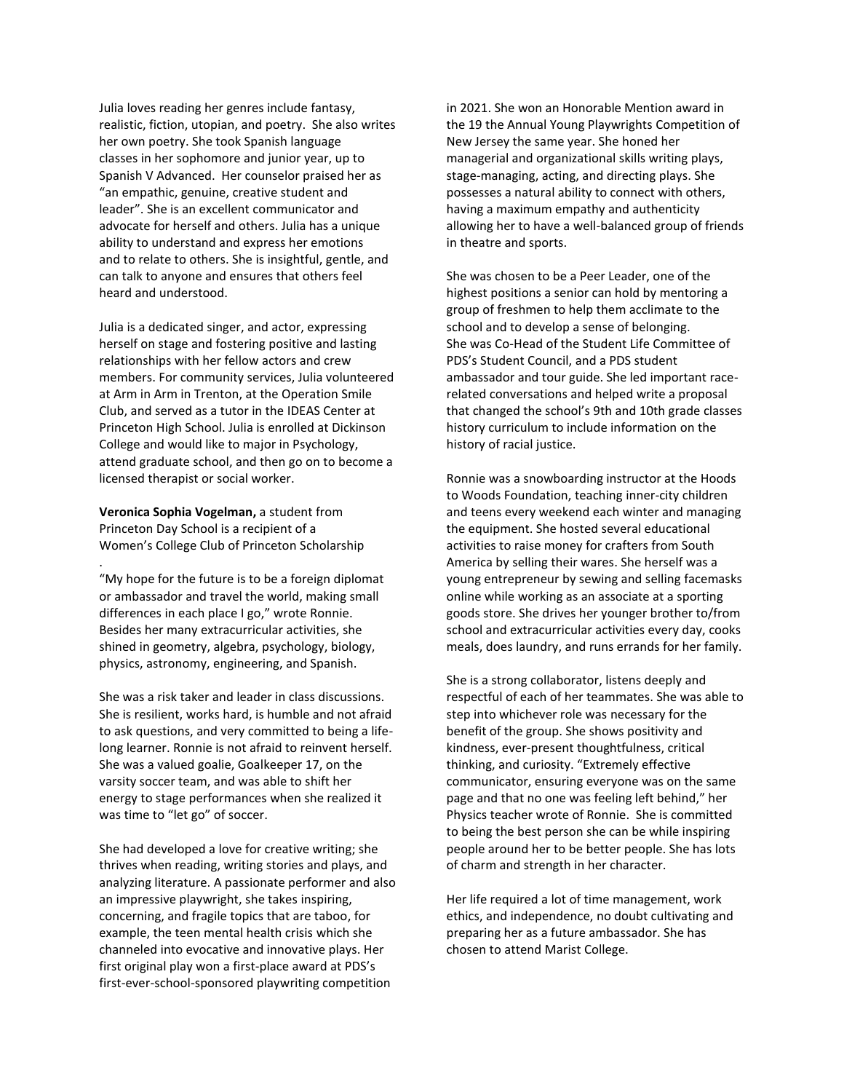Julia loves reading her genres include fantasy, realistic, fiction, utopian, and poetry. She also writes her own poetry. She took Spanish language classes in her sophomore and junior year, up to Spanish V Advanced. Her counselor praised her as "an empathic, genuine, creative student and leader". She is an excellent communicator and advocate for herself and others. Julia has a unique ability to understand and express her emotions and to relate to others. She is insightful, gentle, and can talk to anyone and ensures that others feel heard and understood.

Julia is a dedicated singer, and actor, expressing herself on stage and fostering positive and lasting relationships with her fellow actors and crew members. For community services, Julia volunteered at Arm in Arm in Trenton, at the Operation Smile Club, and served as a tutor in the IDEAS Center at Princeton High School. Julia is enrolled at Dickinson College and would like to major in Psychology, attend graduate school, and then go on to become a licensed therapist or social worker.

**Veronica Sophia Vogelman,** a student from Princeton Day School is a recipient of a Women's College Club of Princeton Scholarship .

"My hope for the future is to be a foreign diplomat or ambassador and travel the world, making small differences in each place I go," wrote Ronnie. Besides her many extracurricular activities, she shined in geometry, algebra, psychology, biology, physics, astronomy, engineering, and Spanish.

She was a risk taker and leader in class discussions. She is resilient, works hard, is humble and not afraid to ask questions, and very committed to being a lifelong learner. Ronnie is not afraid to reinvent herself. She was a valued goalie, Goalkeeper 17, on the varsity soccer team, and was able to shift her energy to stage performances when she realized it was time to "let go" of soccer.

She had developed a love for creative writing; she thrives when reading, writing stories and plays, and analyzing literature. A passionate performer and also an impressive playwright, she takes inspiring, concerning, and fragile topics that are taboo, for example, the teen mental health crisis which she channeled into evocative and innovative plays. Her first original play won a first-place award at PDS's first-ever-school-sponsored playwriting competition

in 2021. She won an Honorable Mention award in the 19 the Annual Young Playwrights Competition of New Jersey the same year. She honed her managerial and organizational skills writing plays, stage-managing, acting, and directing plays. She possesses a natural ability to connect with others, having a maximum empathy and authenticity allowing her to have a well-balanced group of friends in theatre and sports.

She was chosen to be a Peer Leader, one of the highest positions a senior can hold by mentoring a group of freshmen to help them acclimate to the school and to develop a sense of belonging. She was Co-Head of the Student Life Committee of PDS's Student Council, and a PDS student ambassador and tour guide. She led important racerelated conversations and helped write a proposal that changed the school's 9th and 10th grade classes history curriculum to include information on the history of racial justice.

Ronnie was a snowboarding instructor at the Hoods to Woods Foundation, teaching inner-city children and teens every weekend each winter and managing the equipment. She hosted several educational activities to raise money for crafters from South America by selling their wares. She herself was a young entrepreneur by sewing and selling facemasks online while working as an associate at a sporting goods store. She drives her younger brother to/from school and extracurricular activities every day, cooks meals, does laundry, and runs errands for her family.

She is a strong collaborator, listens deeply and respectful of each of her teammates. She was able to step into whichever role was necessary for the benefit of the group. She shows positivity and kindness, ever-present thoughtfulness, critical thinking, and curiosity. "Extremely effective communicator, ensuring everyone was on the same page and that no one was feeling left behind," her Physics teacher wrote of Ronnie. She is committed to being the best person she can be while inspiring people around her to be better people. She has lots of charm and strength in her character.

Her life required a lot of time management, work ethics, and independence, no doubt cultivating and preparing her as a future ambassador. She has chosen to attend Marist College.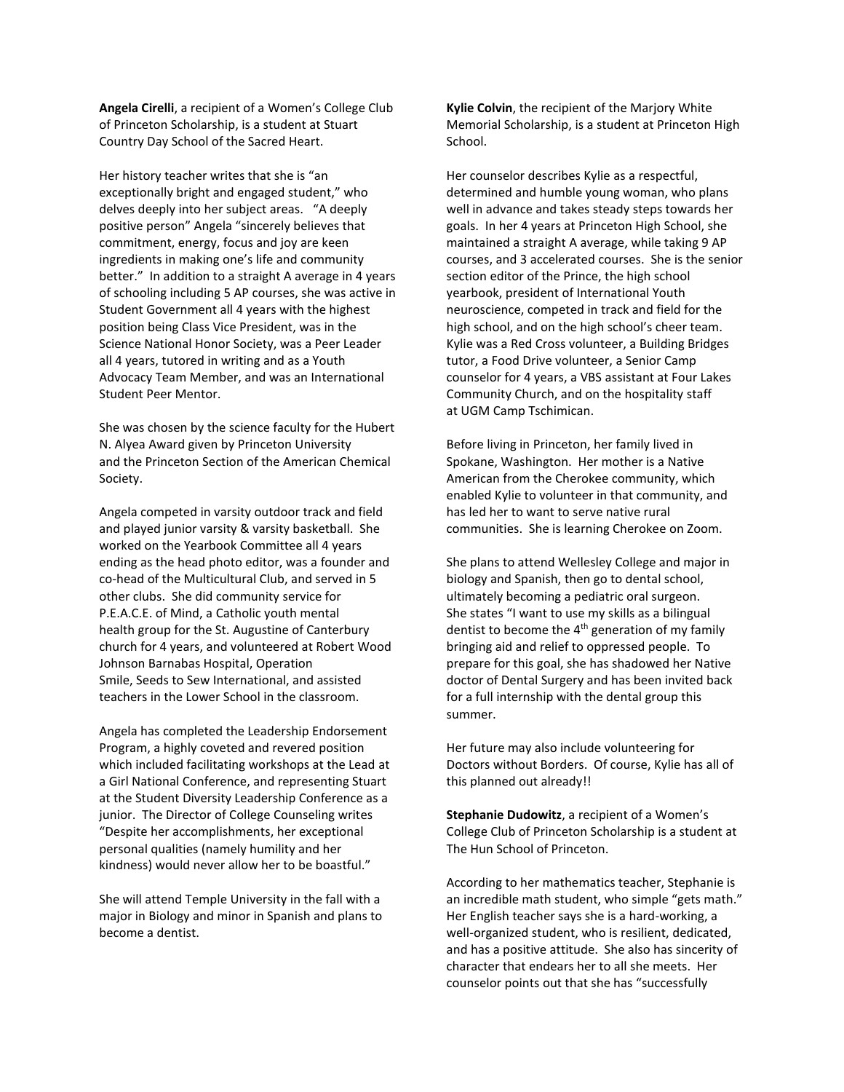**Angela Cirelli**, a recipient of a Women's College Club of Princeton Scholarship, is a student at Stuart Country Day School of the Sacred Heart.

Her history teacher writes that she is "an exceptionally bright and engaged student," who delves deeply into her subject areas. "A deeply positive person" Angela "sincerely believes that commitment, energy, focus and joy are keen ingredients in making one's life and community better." In addition to a straight A average in 4 years of schooling including 5 AP courses, she was active in Student Government all 4 years with the highest position being Class Vice President, was in the Science National Honor Society, was a Peer Leader all 4 years, tutored in writing and as a Youth Advocacy Team Member, and was an International Student Peer Mentor.

She was chosen by the science faculty for the Hubert N. Alyea Award given by Princeton University and the Princeton Section of the American Chemical Society.

Angela competed in varsity outdoor track and field and played junior varsity & varsity basketball. She worked on the Yearbook Committee all 4 years ending as the head photo editor, was a founder and co-head of the Multicultural Club, and served in 5 other clubs. She did community service for P.E.A.C.E. of Mind, a Catholic youth mental health group for the St. Augustine of Canterbury church for 4 years, and volunteered at Robert Wood Johnson Barnabas Hospital, Operation Smile, Seeds to Sew International, and assisted teachers in the Lower School in the classroom.

Angela has completed the Leadership Endorsement Program, a highly coveted and revered position which included facilitating workshops at the Lead at a Girl National Conference, and representing Stuart at the Student Diversity Leadership Conference as a junior. The Director of College Counseling writes "Despite her accomplishments, her exceptional personal qualities (namely humility and her kindness) would never allow her to be boastful."

She will attend Temple University in the fall with a major in Biology and minor in Spanish and plans to become a dentist.

**Kylie Colvin**, the recipient of the Marjory White Memorial Scholarship, is a student at Princeton High School.

Her counselor describes Kylie as a respectful, determined and humble young woman, who plans well in advance and takes steady steps towards her goals. In her 4 years at Princeton High School, she maintained a straight A average, while taking 9 AP courses, and 3 accelerated courses. She is the senior section editor of the Prince, the high school yearbook, president of International Youth neuroscience, competed in track and field for the high school, and on the high school's cheer team. Kylie was a Red Cross volunteer, a Building Bridges tutor, a Food Drive volunteer, a Senior Camp counselor for 4 years, a VBS assistant at Four Lakes Community Church, and on the hospitality staff at UGM Camp Tschimican.

Before living in Princeton, her family lived in Spokane, Washington. Her mother is a Native American from the Cherokee community, which enabled Kylie to volunteer in that community, and has led her to want to serve native rural communities. She is learning Cherokee on Zoom.

She plans to attend Wellesley College and major in biology and Spanish, then go to dental school, ultimately becoming a pediatric oral surgeon. She states "I want to use my skills as a bilingual dentist to become the  $4<sup>th</sup>$  generation of my family bringing aid and relief to oppressed people. To prepare for this goal, she has shadowed her Native doctor of Dental Surgery and has been invited back for a full internship with the dental group this summer.

Her future may also include volunteering for Doctors without Borders. Of course, Kylie has all of this planned out already!!

**Stephanie Dudowitz**, a recipient of a Women's College Club of Princeton Scholarship is a student at The Hun School of Princeton.

According to her mathematics teacher, Stephanie is an incredible math student, who simple "gets math." Her English teacher says she is a hard-working, a well-organized student, who is resilient, dedicated, and has a positive attitude. She also has sincerity of character that endears her to all she meets. Her counselor points out that she has "successfully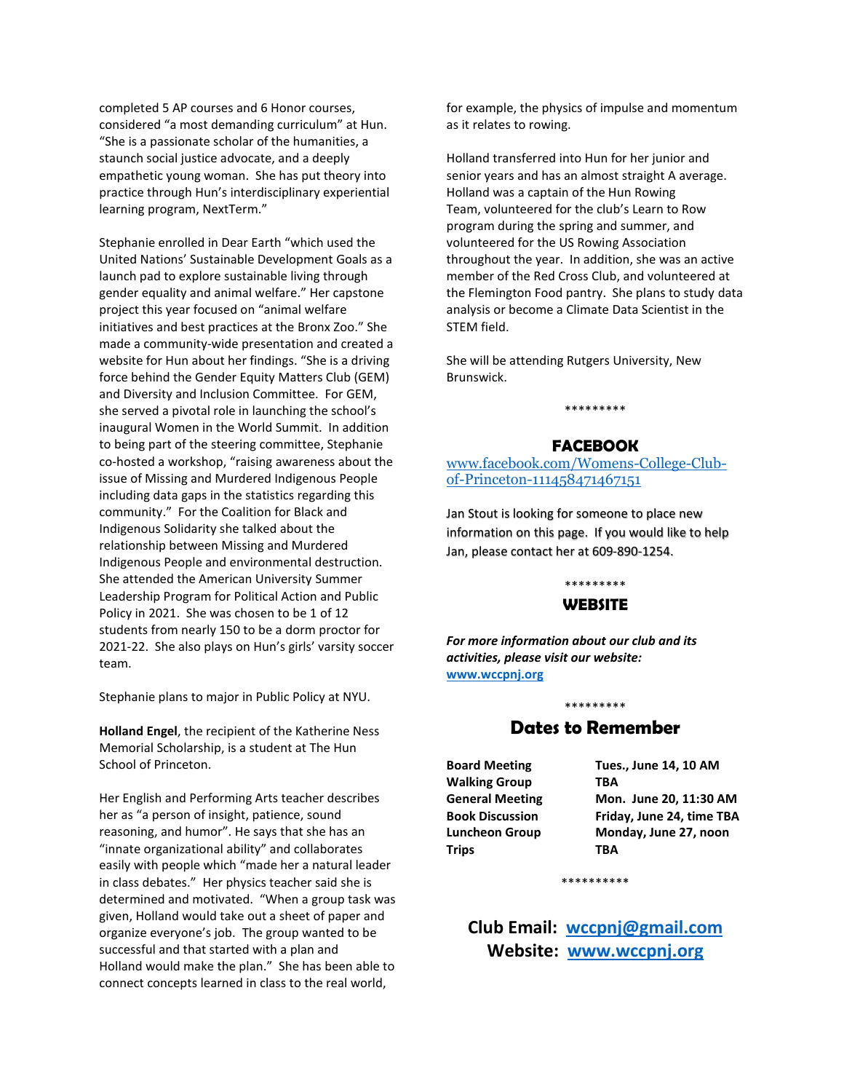completed 5 AP courses and 6 Honor courses, considered "a most demanding curriculum" at Hun. "She is a passionate scholar of the humanities, a staunch social justice advocate, and a deeply empathetic young woman. She has put theory into practice through Hun's interdisciplinary experiential learning program, NextTerm."

Stephanie enrolled in Dear Earth "which used the United Nations' Sustainable Development Goals as a launch pad to explore sustainable living through gender equality and animal welfare." Her capstone project this year focused on "animal welfare initiatives and best practices at the Bronx Zoo." She made a community-wide presentation and created a website for Hun about her findings. "She is a driving force behind the Gender Equity Matters Club (GEM) and Diversity and Inclusion Committee. For GEM, she served a pivotal role in launching the school's inaugural Women in the World Summit. In addition to being part of the steering committee, Stephanie co-hosted a workshop, "raising awareness about the issue of Missing and Murdered Indigenous People including data gaps in the statistics regarding this community." For the Coalition for Black and Indigenous Solidarity she talked about the relationship between Missing and Murdered Indigenous People and environmental destruction. She attended the American University Summer Leadership Program for Political Action and Public Policy in 2021. She was chosen to be 1 of 12 students from nearly 150 to be a dorm proctor for 2021-22. She also plays on Hun's girls' varsity soccer team.

Stephanie plans to major in Public Policy at NYU.

**Holland Engel**, the recipient of the Katherine Ness Memorial Scholarship, is a student at The Hun School of Princeton.

Her English and Performing Arts teacher describes her as "a person of insight, patience, sound reasoning, and humor". He says that she has an "innate organizational ability" and collaborates easily with people which "made her a natural leader in class debates." Her physics teacher said she is determined and motivated. "When a group task was given, Holland would take out a sheet of paper and organize everyone's job. The group wanted to be successful and that started with a plan and Holland would make the plan." She has been able to connect concepts learned in class to the real world,

for example, the physics of impulse and momentum as it relates to rowing.

Holland transferred into Hun for her junior and senior years and has an almost straight A average. Holland was a captain of the Hun Rowing Team, volunteered for the club's Learn to Row program during the spring and summer, and volunteered for the US Rowing Association throughout the year. In addition, she was an active member of the Red Cross Club, and volunteered at the Flemington Food pantry. She plans to study data analysis or become a Climate Data Scientist in the STEM field.

She will be attending Rutgers University, New Brunswick.

\*\*\*\*\*\*\*\*\*

#### **FACEBOOK**

[www.facebook.com/Womens-College-Club](http://www.facebook.com/Womens-College-Club-of-Princeton-111458471467151)[of-Princeton-111458471467151](http://www.facebook.com/Womens-College-Club-of-Princeton-111458471467151)

Jan Stout is looking for someone to place new information on this page. If you would like to help Jan, please contact her at 609-890-1254.

## \*\*\*\*\*\*\*\*\*

#### **WEBSITE**

*For more information about our club and its activities, please visit our website:* **[www.wccpnj.org](http://www.wccpnj.org/)**

### \*\*\*\*\*\*\*\*\* **Dates to Remember**

**Walking Group TBA Trips TBA**

**Board Meeting Tues., June 14, 10 AM General Meeting Mon. June 20, 11:30 AM Book Discussion Friday, June 24, time TBA Luncheon Group Monday, June 27, noon**

\*\*\*\*\*\*\*\*\*\*

## **Club Email: [wccpnj@gmail.com](mailto:wccpnj@gmail.com) Website: [www.wccpnj.org](http://www.wccpnj.org/)**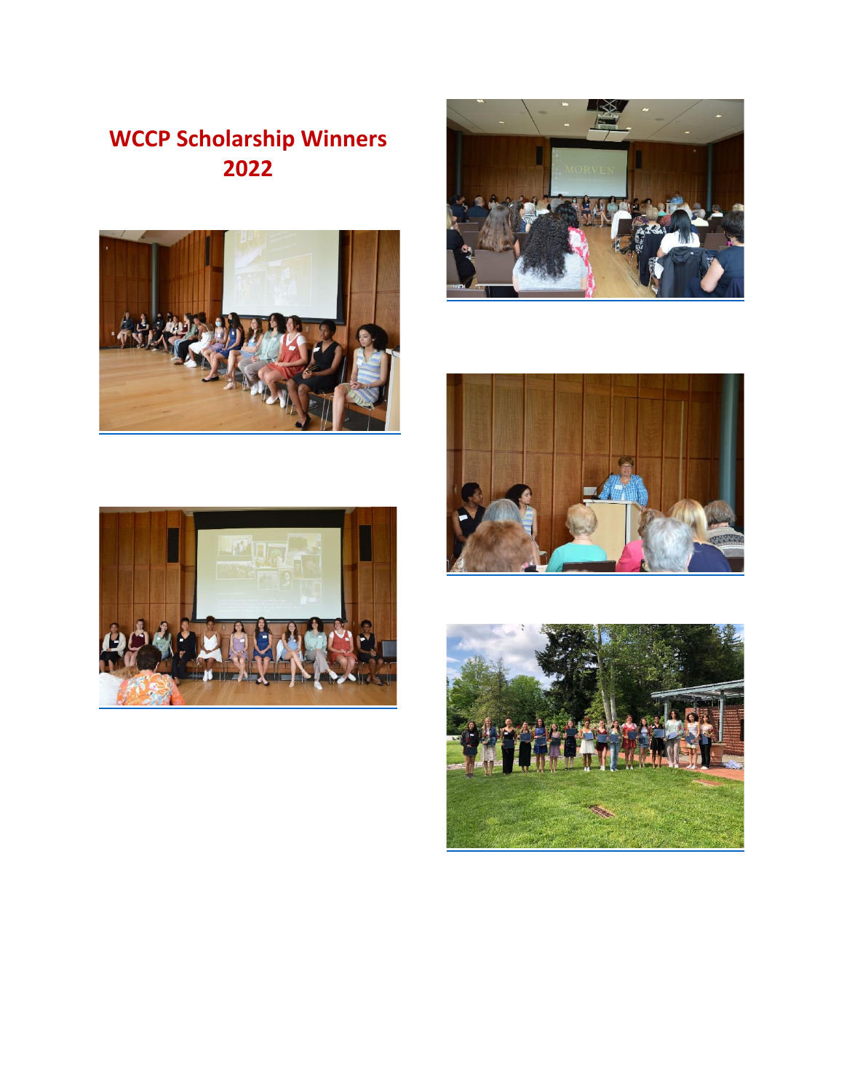# **WCCP Scholarship Winners 2022**